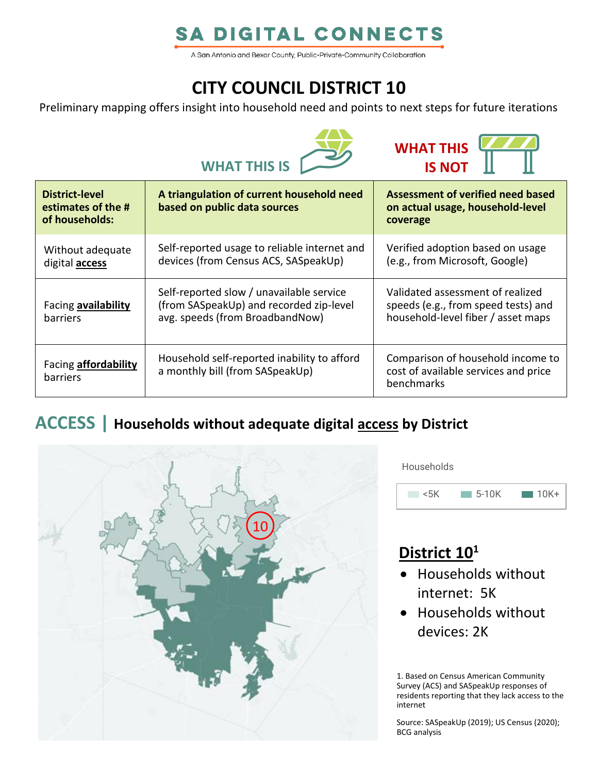# **SA DIGITAL CONNECTS**

A San Antonio and Bexar County, Public-Private-Community Collaboration

# **CITY COUNCIL DISTRICT 10**

Preliminary mapping offers insight into household need and points to next steps for future iterations





| <b>District-level</b><br>estimates of the #<br>of households: | A triangulation of current household need<br>based on public data sources                                              | Assessment of verified need based<br>on actual usage, household-level<br>coverage                             |
|---------------------------------------------------------------|------------------------------------------------------------------------------------------------------------------------|---------------------------------------------------------------------------------------------------------------|
| Without adequate<br>digital <b>access</b>                     | Self-reported usage to reliable internet and<br>devices (from Census ACS, SASpeakUp)                                   | Verified adoption based on usage<br>(e.g., from Microsoft, Google)                                            |
| Facing availability<br>barriers                               | Self-reported slow / unavailable service<br>(from SASpeakUp) and recorded zip-level<br>avg. speeds (from BroadbandNow) | Validated assessment of realized<br>speeds (e.g., from speed tests) and<br>household-level fiber / asset maps |
| Facing <b>affordability</b><br>barriers                       | Household self-reported inability to afford<br>a monthly bill (from SASpeakUp)                                         | Comparison of household income to<br>cost of available services and price<br>benchmarks                       |

### **ACCESS | Households without adequate digital access by District**



Households



## **District 10<sup>1</sup>**

- Households without internet: 5K
- Households without devices: 2K

1. Based on Census American Community Survey (ACS) and SASpeakUp responses of residents reporting that they lack access to the internet

Source: SASpeakUp (2019); US Census (2020); BCG analysis